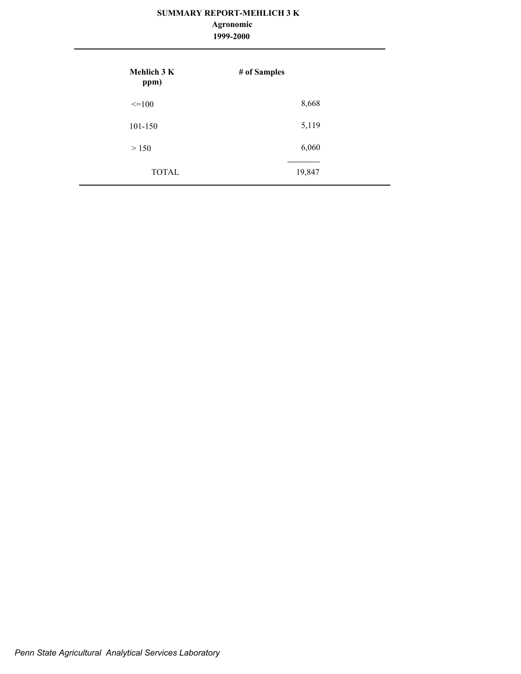## **1999-2000 Agronomic**

| <b>Mehlich 3 K</b><br>ppm) | # of Samples |
|----------------------------|--------------|
| $\leq$ =100                | 8,668        |
| 101-150                    | 5,119        |
| > 150                      | 6,060        |
| <b>TOTAL</b>               | 19,847       |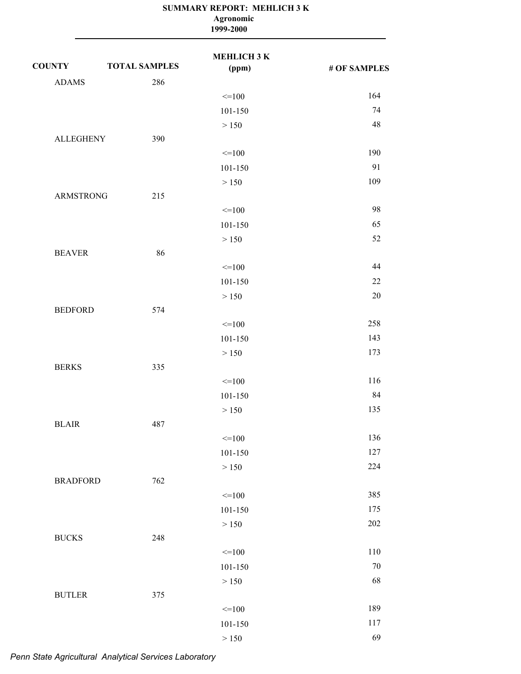|                  |                      | Agronomic<br>1999-2000      |              |
|------------------|----------------------|-----------------------------|--------------|
| <b>COUNTY</b>    | <b>TOTAL SAMPLES</b> | <b>MEHLICH 3 K</b><br>(ppm) | # OF SAMPLES |
| <b>ADAMS</b>     | 286                  |                             |              |
|                  |                      | $=100$                      | 164          |
|                  |                      | 101-150                     | 74           |
|                  |                      | > 150                       | 48           |
| <b>ALLEGHENY</b> | 390                  |                             |              |
|                  |                      | $=100$                      | 190          |
|                  |                      | 101-150                     | 91           |
|                  |                      | > 150                       | 109          |
| <b>ARMSTRONG</b> | 215                  |                             |              |
|                  |                      | $=100$                      | 98           |
|                  |                      | 101-150                     | 65           |
|                  |                      | > 150                       | 52           |
| <b>BEAVER</b>    | 86                   |                             |              |
|                  |                      | $=100$                      | 44           |
|                  |                      | 101-150                     | 22           |
|                  |                      | > 150                       | 20           |
| <b>BEDFORD</b>   | 574                  |                             |              |
|                  |                      | $=100$                      | 258          |
|                  |                      | 101-150                     | 143          |
|                  |                      | > 150                       | 173          |
| <b>BERKS</b>     | 335                  |                             |              |
|                  |                      | $=100$                      | 116          |
|                  |                      | 101-150                     | 84           |
|                  |                      | > 150                       | 135          |
| <b>BLAIR</b>     | 487                  |                             |              |
|                  |                      | $=100$                      | 136          |
|                  |                      | $101 - 150$                 | 127          |
|                  |                      | $>150$                      | 224          |
| <b>BRADFORD</b>  | 762                  |                             |              |
|                  |                      | $=100$                      | 385          |
|                  |                      | $101 - 150$                 | 175          |
|                  |                      | $>150$                      | 202          |
| <b>BUCKS</b>     | 248                  |                             |              |
|                  |                      | $=100$                      | 110          |
|                  |                      | $101 - 150$                 | 70           |
|                  |                      | $>150$                      | 68           |
| <b>BUTLER</b>    | 375                  |                             |              |
|                  |                      | $=100$                      | 189          |
|                  |                      | $101 - 150$                 | 117          |
|                  |                      | >150                        | 69           |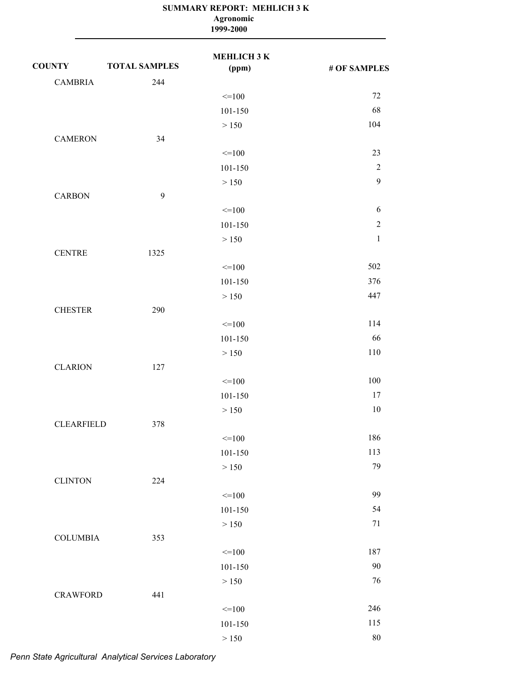|                   |                      | Agronomic<br>1999-2000      |              |
|-------------------|----------------------|-----------------------------|--------------|
| <b>COUNTY</b>     | <b>TOTAL SAMPLES</b> | <b>MEHLICH 3 K</b><br>(ppm) | # OF SAMPLES |
| <b>CAMBRIA</b>    | 244                  |                             |              |
|                   |                      | $=100$                      | 72           |
|                   |                      | 101-150                     | 68           |
|                   |                      | > 150                       | 104          |
| <b>CAMERON</b>    | 34                   |                             |              |
|                   |                      | $=100$                      | 23           |
|                   |                      | 101-150                     | $\sqrt{2}$   |
|                   |                      | > 150                       | $\mathbf{9}$ |
| <b>CARBON</b>     | 9                    |                             |              |
|                   |                      | $=100$                      | 6            |
|                   |                      | 101-150                     | $\sqrt{2}$   |
|                   |                      | > 150                       | $\mathbf{1}$ |
| <b>CENTRE</b>     | 1325                 |                             |              |
|                   |                      | $=100$                      | 502          |
|                   |                      | 101-150                     | 376          |
|                   |                      | > 150                       | 447          |
| <b>CHESTER</b>    | 290                  |                             |              |
|                   |                      | $=100$                      | 114          |
|                   |                      | 101-150                     | 66           |
|                   |                      | > 150                       | 110          |
| <b>CLARION</b>    | 127                  |                             |              |
|                   |                      | $=100$                      | 100          |
|                   |                      | 101-150                     | 17           |
|                   |                      | > 150                       | 10           |
| <b>CLEARFIELD</b> | 378                  |                             |              |
|                   |                      | $=100$                      | 186          |
|                   |                      | 101-150                     | 113          |
|                   |                      | > 150                       | 79           |
| <b>CLINTON</b>    | 224                  |                             |              |
|                   |                      | $=100$                      | 99           |
|                   |                      | $101 - 150$                 | 54           |
|                   |                      | $>150$                      | 71           |
| <b>COLUMBIA</b>   | 353                  |                             |              |
|                   |                      | $=100$                      | 187          |
|                   |                      | 101-150                     | 90           |
|                   |                      | > 150                       | 76           |
| <b>CRAWFORD</b>   | 441                  |                             |              |
|                   |                      | $=100$                      | 246          |
|                   |                      | 101-150                     | 115          |
|                   |                      | >150                        | 80           |

*Penn State Agricultural Analytical Services Laboratory*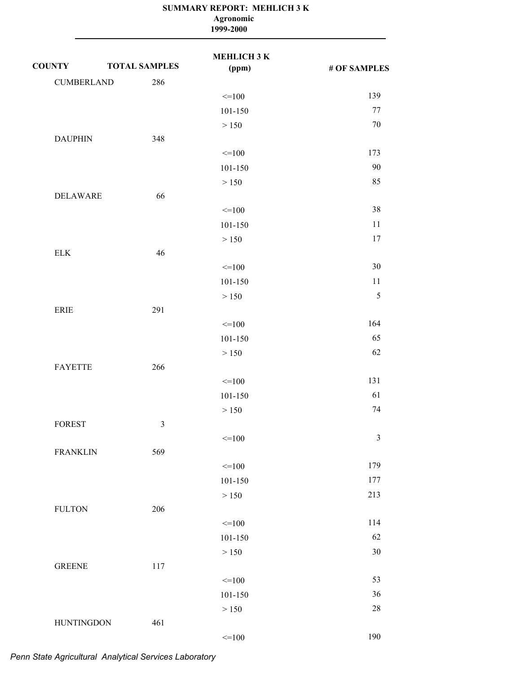|                   |                      | Agronomic<br>1999-2000      |                |
|-------------------|----------------------|-----------------------------|----------------|
| <b>COUNTY</b>     | <b>TOTAL SAMPLES</b> | <b>MEHLICH 3 K</b><br>(ppm) | # OF SAMPLES   |
| <b>CUMBERLAND</b> | 286                  |                             |                |
|                   |                      | $\leq$ 100                  | 139            |
|                   |                      | 101-150                     | 77             |
|                   |                      | > 150                       | 70             |
| <b>DAUPHIN</b>    | 348                  |                             |                |
|                   |                      | $=100$                      | 173            |
|                   |                      | 101-150                     | 90             |
|                   |                      | > 150                       | 85             |
| <b>DELAWARE</b>   | 66                   |                             |                |
|                   |                      | $=100$                      | 38             |
|                   |                      | 101-150                     | 11             |
|                   |                      | > 150                       | 17             |
| ${\rm ELK}$       | 46                   |                             |                |
|                   |                      | $\leq$ 100                  | 30             |
|                   |                      | 101-150                     | 11             |
|                   |                      | > 150                       | $\sqrt{5}$     |
| ERIE              | 291                  |                             |                |
|                   |                      | $=100$                      | 164            |
|                   |                      | 101-150                     | 65             |
|                   |                      | > 150                       | 62             |
| <b>FAYETTE</b>    | 266                  |                             |                |
|                   |                      | $=100$                      | 131            |
|                   |                      | 101-150                     | 61             |
|                   |                      | $\geq 150$                  | 74             |
| <b>FOREST</b>     | $\mathfrak{Z}$       |                             |                |
|                   |                      | $=100$                      | $\mathfrak{Z}$ |
| <b>FRANKLIN</b>   | 569                  |                             |                |
|                   |                      | $\leq$ 100                  | 179            |
|                   |                      | 101-150                     | 177            |
|                   |                      | > 150                       | 213            |
| <b>FULTON</b>     | 206                  |                             |                |
|                   |                      | $=100$                      | 114            |
|                   |                      | 101-150                     | 62             |
|                   |                      | > 150                       | 30             |
| <b>GREENE</b>     | 117                  |                             |                |
|                   |                      | $\leq$ 100                  | 53             |
|                   |                      | $101 - 150$                 | 36             |
|                   |                      | > 150                       | 28             |
| <b>HUNTINGDON</b> | 461                  |                             |                |
|                   |                      | $\leq$ 100                  | 190            |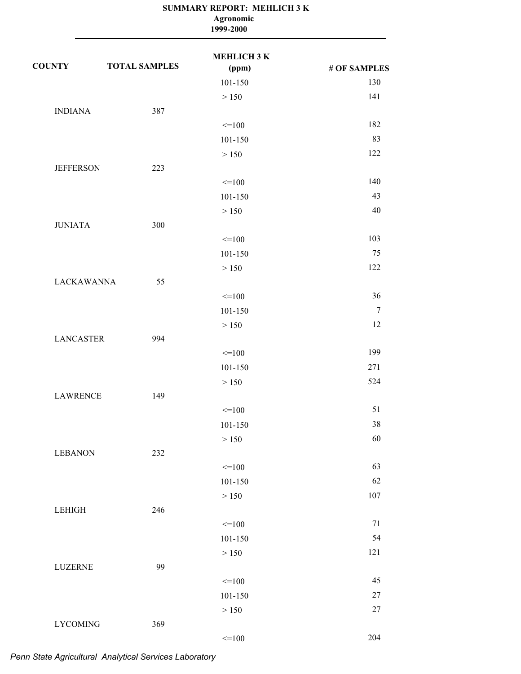| МЕНLIСНЗК<br><b>COUNTY</b><br><b>TOTAL SAMPLES</b><br>(ppm)<br>101-150<br>> 150<br><b>INDIANA</b><br>387<br>$=100$<br>101-150<br>> 150<br><b>JEFFERSON</b><br>223<br>$=100$<br>101-150<br>> 150<br>300<br><b>JUNIATA</b><br>$=100$<br>101-150<br>> 150<br><b>LACKAWANNA</b><br>55<br>$=100$<br>101-150<br>> 150<br><b>LANCASTER</b><br>994<br>$=100$<br>101-150<br>> 150<br>149<br><b>LAWRENCE</b><br>$=100$<br>101-150<br>> 150<br><b>LEBANON</b><br>232<br>$=100$<br>101-150<br>$>150\,$ |               |     | SUMMARY REPORT: MEHLICH 3 K<br>Agronomic<br>1999-2000 |              |
|--------------------------------------------------------------------------------------------------------------------------------------------------------------------------------------------------------------------------------------------------------------------------------------------------------------------------------------------------------------------------------------------------------------------------------------------------------------------------------------------|---------------|-----|-------------------------------------------------------|--------------|
|                                                                                                                                                                                                                                                                                                                                                                                                                                                                                            |               |     |                                                       | # OF SAMPLES |
|                                                                                                                                                                                                                                                                                                                                                                                                                                                                                            |               |     |                                                       | 130          |
|                                                                                                                                                                                                                                                                                                                                                                                                                                                                                            |               |     |                                                       | 141          |
|                                                                                                                                                                                                                                                                                                                                                                                                                                                                                            |               |     |                                                       |              |
|                                                                                                                                                                                                                                                                                                                                                                                                                                                                                            |               |     |                                                       | 182          |
|                                                                                                                                                                                                                                                                                                                                                                                                                                                                                            |               |     |                                                       | 83           |
|                                                                                                                                                                                                                                                                                                                                                                                                                                                                                            |               |     |                                                       | 122          |
|                                                                                                                                                                                                                                                                                                                                                                                                                                                                                            |               |     |                                                       |              |
|                                                                                                                                                                                                                                                                                                                                                                                                                                                                                            |               |     |                                                       | 140          |
|                                                                                                                                                                                                                                                                                                                                                                                                                                                                                            |               |     |                                                       | 43           |
|                                                                                                                                                                                                                                                                                                                                                                                                                                                                                            |               |     |                                                       | 40           |
|                                                                                                                                                                                                                                                                                                                                                                                                                                                                                            |               |     |                                                       |              |
|                                                                                                                                                                                                                                                                                                                                                                                                                                                                                            |               |     |                                                       | 103          |
|                                                                                                                                                                                                                                                                                                                                                                                                                                                                                            |               |     |                                                       | 75           |
|                                                                                                                                                                                                                                                                                                                                                                                                                                                                                            |               |     |                                                       | 122          |
|                                                                                                                                                                                                                                                                                                                                                                                                                                                                                            |               |     |                                                       |              |
|                                                                                                                                                                                                                                                                                                                                                                                                                                                                                            |               |     |                                                       | 36           |
|                                                                                                                                                                                                                                                                                                                                                                                                                                                                                            |               |     |                                                       | $\tau$       |
|                                                                                                                                                                                                                                                                                                                                                                                                                                                                                            |               |     |                                                       | 12           |
|                                                                                                                                                                                                                                                                                                                                                                                                                                                                                            |               |     |                                                       |              |
|                                                                                                                                                                                                                                                                                                                                                                                                                                                                                            |               |     |                                                       | 199          |
|                                                                                                                                                                                                                                                                                                                                                                                                                                                                                            |               |     |                                                       | 271          |
|                                                                                                                                                                                                                                                                                                                                                                                                                                                                                            |               |     |                                                       | 524          |
|                                                                                                                                                                                                                                                                                                                                                                                                                                                                                            |               |     |                                                       |              |
|                                                                                                                                                                                                                                                                                                                                                                                                                                                                                            |               |     |                                                       | 51           |
|                                                                                                                                                                                                                                                                                                                                                                                                                                                                                            |               |     |                                                       | 38           |
|                                                                                                                                                                                                                                                                                                                                                                                                                                                                                            |               |     |                                                       | 60           |
|                                                                                                                                                                                                                                                                                                                                                                                                                                                                                            |               |     |                                                       |              |
|                                                                                                                                                                                                                                                                                                                                                                                                                                                                                            |               |     |                                                       | 63           |
|                                                                                                                                                                                                                                                                                                                                                                                                                                                                                            |               |     |                                                       | 62           |
|                                                                                                                                                                                                                                                                                                                                                                                                                                                                                            |               |     |                                                       | 107          |
|                                                                                                                                                                                                                                                                                                                                                                                                                                                                                            | <b>LEHIGH</b> | 246 |                                                       |              |
| $=100$                                                                                                                                                                                                                                                                                                                                                                                                                                                                                     |               |     |                                                       | 71           |
| 101-150                                                                                                                                                                                                                                                                                                                                                                                                                                                                                    |               |     |                                                       | 54           |
| > 150                                                                                                                                                                                                                                                                                                                                                                                                                                                                                      |               |     |                                                       | 121          |
| 99<br>LUZERNE                                                                                                                                                                                                                                                                                                                                                                                                                                                                              |               |     |                                                       |              |
| $=100$                                                                                                                                                                                                                                                                                                                                                                                                                                                                                     |               |     |                                                       | 45           |
| 101-150                                                                                                                                                                                                                                                                                                                                                                                                                                                                                    |               |     |                                                       | $27\,$       |
| > 150                                                                                                                                                                                                                                                                                                                                                                                                                                                                                      |               |     |                                                       | $27\,$       |
| <b>LYCOMING</b><br>369                                                                                                                                                                                                                                                                                                                                                                                                                                                                     |               |     |                                                       |              |
| $=100$                                                                                                                                                                                                                                                                                                                                                                                                                                                                                     |               |     |                                                       | 204          |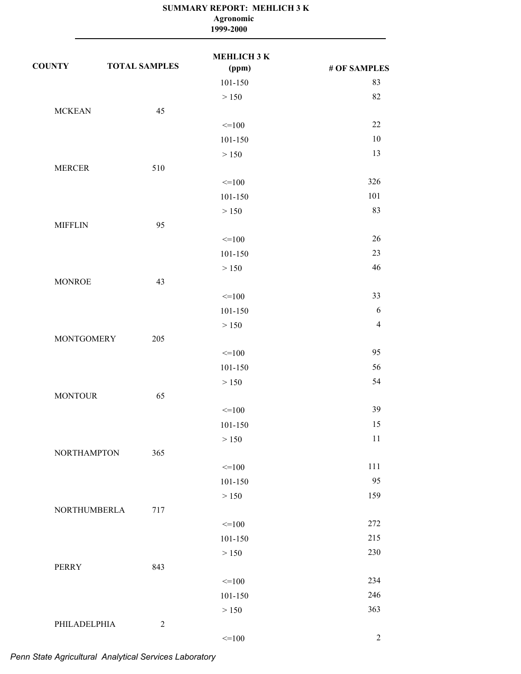|                    |                      | SUMMARY REPORT: MEHLICH 3 K<br>Agronomic<br>1999-2000 |                |
|--------------------|----------------------|-------------------------------------------------------|----------------|
| <b>COUNTY</b>      | <b>TOTAL SAMPLES</b> | МЕНLIСНЗК<br>(ppm)                                    | # OF SAMPLES   |
|                    |                      | 101-150                                               | 83             |
|                    |                      | > 150                                                 | 82             |
| <b>MCKEAN</b>      | 45                   |                                                       |                |
|                    |                      | $=100$                                                | 22             |
|                    |                      | 101-150                                               | 10             |
|                    |                      | > 150                                                 | 13             |
| <b>MERCER</b>      | 510                  |                                                       |                |
|                    |                      | $=100$                                                | 326            |
|                    |                      | 101-150                                               | 101            |
|                    |                      | > 150                                                 | 83             |
| <b>MIFFLIN</b>     | 95                   |                                                       |                |
|                    |                      | $=100$                                                | 26             |
|                    |                      | 101-150                                               | 23             |
|                    |                      | > 150                                                 | 46             |
| <b>MONROE</b>      | 43                   |                                                       |                |
|                    |                      | $=100$                                                | 33             |
|                    |                      | 101-150                                               | 6              |
|                    |                      | > 150                                                 | $\overline{4}$ |
| <b>MONTGOMERY</b>  | 205                  |                                                       |                |
|                    |                      | $=100$                                                | 95             |
|                    |                      | 101-150                                               | 56             |
|                    |                      | > 150                                                 | 54             |
| <b>MONTOUR</b>     | 65                   |                                                       |                |
|                    |                      | $=100$                                                | 39             |
|                    |                      | 101-150                                               | 15             |
|                    |                      | > 150                                                 | 11             |
| <b>NORTHAMPTON</b> | 365                  |                                                       |                |
|                    |                      | $=100$                                                | 111            |
|                    |                      | 101-150                                               | 95             |
|                    |                      | > 150                                                 | 159            |
| NORTHUMBERLA       | 717                  |                                                       |                |
|                    |                      | $=100$                                                | 272            |
|                    |                      | 101-150                                               | 215            |
|                    |                      | > 150                                                 | 230            |
| <b>PERRY</b>       | 843                  |                                                       |                |
|                    |                      | $=100$                                                | 234            |
|                    |                      | 101-150                                               | 246            |
|                    |                      | $>150\,$                                              | 363            |
| PHILADELPHIA       | $\sqrt{2}$           |                                                       |                |
|                    |                      | $=100$                                                | $\overline{2}$ |
|                    |                      |                                                       |                |

*Penn State Agricultural Analytical Services Laboratory*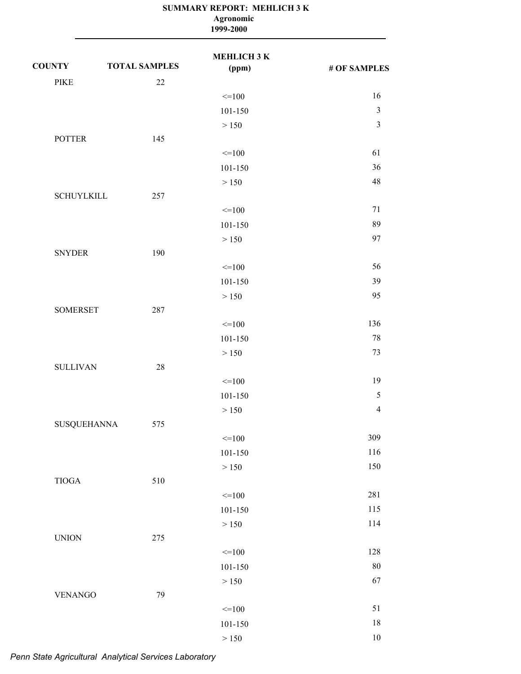|                    |                      | Agronomic<br>1999-2000 |                |
|--------------------|----------------------|------------------------|----------------|
| <b>COUNTY</b>      | <b>TOTAL SAMPLES</b> | МЕНLIСНЗК<br>(ppm)     | # OF SAMPLES   |
| <b>PIKE</b>        | 22                   |                        |                |
|                    |                      | $=100$                 | 16             |
|                    |                      | 101-150                | $\mathfrak{Z}$ |
|                    |                      | > 150                  | $\mathfrak{Z}$ |
| <b>POTTER</b>      | 145                  |                        |                |
|                    |                      | $=100$                 | 61             |
|                    |                      | 101-150                | 36             |
|                    |                      | > 150                  | 48             |
| <b>SCHUYLKILL</b>  | 257                  |                        |                |
|                    |                      | $=100$                 | 71             |
|                    |                      | 101-150                | 89             |
|                    |                      | > 150                  | 97             |
| <b>SNYDER</b>      | 190                  |                        |                |
|                    |                      | $=100$                 | 56             |
|                    |                      | 101-150                | 39             |
|                    |                      | > 150                  | 95             |
| <b>SOMERSET</b>    | 287                  |                        |                |
|                    |                      | $=100$                 | 136            |
|                    |                      | 101-150                | 78             |
|                    |                      | > 150                  | 73             |
| <b>SULLIVAN</b>    | 28                   |                        |                |
|                    |                      | $=100$                 | 19             |
|                    |                      | $101 - 150$            | 5              |
|                    |                      | > 150                  | $\overline{4}$ |
| <b>SUSQUEHANNA</b> | 575                  |                        |                |
|                    |                      | $=100$                 | 309            |
|                    |                      | 101-150                | 116            |
|                    |                      | $>150$                 | 150            |
| $\tt TIOGA$        | 510                  |                        |                |
|                    |                      | $=100$                 | 281            |
|                    |                      | $101 - 150$            | 115            |
|                    |                      | $>150$                 | 114            |
| <b>UNION</b>       | 275                  |                        |                |
|                    |                      | $=100$                 | 128            |
|                    |                      | 101-150                | 80             |
|                    |                      | $>150$                 | 67             |
| <b>VENANGO</b>     | 79                   |                        | 51             |
|                    |                      | $=100$                 | $18\,$         |
|                    |                      | $101 - 150$            | $10\,$         |
|                    |                      | $>150$                 |                |